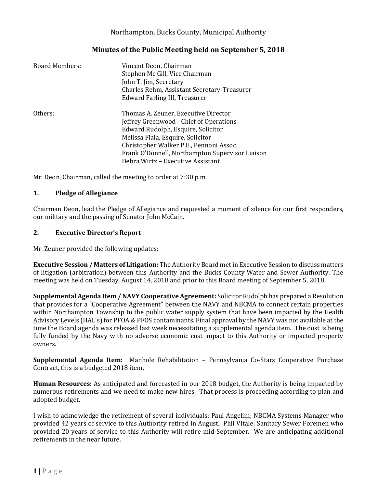## Northampton, Bucks County, Municipal Authority

## **Minutes of the Public Meeting held on September 5, 2018**

| <b>Board Members:</b> | Vincent Deon, Chairman<br>Stephen Mc Gill, Vice Chairman<br>John T. Jim, Secretary<br>Charles Rehm, Assistant Secretary-Treasurer<br>Edward Farling III, Treasurer |
|-----------------------|--------------------------------------------------------------------------------------------------------------------------------------------------------------------|
| Others:               | Thomas A. Zeuner, Executive Director<br>Jeffrey Greenwood - Chief of Operations<br>Edward Rudolph, Esquire, Solicitor<br>Melissa Fiala, Esquire, Solicitor         |
|                       | Christopher Walker P.E., Pennoni Assoc.<br>Frank O'Donnell, Northampton Supervisor Liaison<br>Debra Wirtz - Executive Assistant                                    |

Mr. Deon, Chairman, called the meeting to order at 7:30 p.m.

#### **1. Pledge of Allegiance**

Chairman Deon, lead the Pledge of Allegiance and requested a moment of silence for our first responders, our military and the passing of Senator John McCain.

#### **2. Executive Director's Report**

Mr. Zeuner provided the following updates:

**Executive Session / Matters of Litigation:** The Authority Board met in Executive Session to discuss matters of litigation (arbitration) between this Authority and the Bucks County Water and Sewer Authority. The meeting was held on Tuesday, August 14, 2018 and prior to this Board meeting of September 5, 2018.

**Supplemental Agenda Item / NAVY Cooperative Agreement:** Solicitor Rudolph has prepared a Resolution that provides for a "Cooperative Agreement" between the NAVY and NBCMA to connect certain properties within Northampton Township to the public water supply system that have been impacted by the Health Advisory Levels (HAL's) for PFOA & PFOS contaminants. Final approval by the NAVY was not available at the time the Board agenda was released last week necessitating a supplemental agenda item. The cost is being fully funded by the Navy with no adverse economic cost impact to this Authority or impacted property owners.

**Supplemental Agenda Item:** Manhole Rehabilitation – Pennsylvania Co-Stars Cooperative Purchase Contract, this is a budgeted 2018 item.

**Human Resources:** As anticipated and forecasted in our 2018 budget, the Authority is being impacted by numerous retirements and we need to make new hires. That process is proceeding according to plan and adopted budget.

I wish to acknowledge the retirement of several individuals: Paul Angelini; NBCMA Systems Manager who provided 42 years of service to this Authority retired in August. Phil Vitale; Sanitary Sewer Foremen who provided 20 years of service to this Authority will retire mid-September. We are anticipating additional retirements in the near future.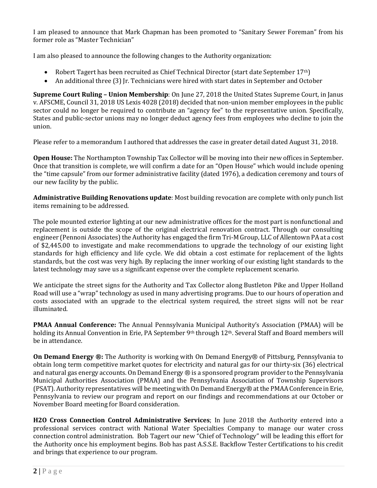I am pleased to announce that Mark Chapman has been promoted to "Sanitary Sewer Foreman" from his former role as "Master Technician"

I am also pleased to announce the following changes to the Authority organization:

- Robert Tagert has been recruited as Chief Technical Director (start date September 17<sup>th</sup>)
- An additional three (3) Ir. Technicians were hired with start dates in September and October

**Supreme Court Ruling – Union Membership**: On June 27, 2018 the United States Supreme Court, in Janus v. AFSCME, Council 31, 2018 US Lexis 4028 (2018) decided that non-union member employees in the public sector could no longer be required to contribute an "agency fee" to the representative union. Specifically, States and public-sector unions may no longer deduct agency fees from employees who decline to join the union.

Please refer to a memorandum I authored that addresses the case in greater detail dated August 31, 2018.

**Open House:** The Northampton Township Tax Collector will be moving into their new offices in September. Once that transition is complete, we will confirm a date for an "Open House" which would include opening the "time capsule" from our former administrative facility (dated 1976), a dedication ceremony and tours of our new facility by the public.

**Administrative Building Renovations update**: Most building revocation are complete with only punch list items remaining to be addressed.

The pole mounted exterior lighting at our new administrative offices for the most part is nonfunctional and replacement is outside the scope of the original electrical renovation contract. Through our consulting engineer (Pennoni Associates) the Authority has engaged the firm Tri-M Group, LLC of Allentown PA at a cost of \$2,445.00 to investigate and make recommendations to upgrade the technology of our existing light standards for high efficiency and life cycle. We did obtain a cost estimate for replacement of the lights standards, but the cost was very high. By replacing the inner working of our existing light standards to the latest technology may save us a significant expense over the complete replacement scenario.

We anticipate the street signs for the Authority and Tax Collector along Bustleton Pike and Upper Holland Road will use a "wrap" technology as used in many advertising programs. Due to our hours of operation and costs associated with an upgrade to the electrical system required, the street signs will not be rear illuminated.

**PMAA Annual Conference:** The Annual Pennsylvania Municipal Authority's Association (PMAA) will be holding its Annual Convention in Erie, PA September 9<sup>th</sup> through 12<sup>th</sup>. Several Staff and Board members will be in attendance.

**On Demand Energy ®:** The Authority is working with On Demand Energy® of Pittsburg, Pennsylvania to obtain long term competitive market quotes for electricity and natural gas for our thirty-six (36) electrical and natural gas energy accounts. On Demand Energy ® is a sponsored program provider to the Pennsylvania Municipal Authorities Association (PMAA) and the Pennsylvania Association of Township Supervisors (PSAT). Authority representatives will be meeting with On Demand Energy® at the PMAA Conference in Erie, Pennsylvania to review our program and report on our findings and recommendations at our October or November Board meeting for Board consideration.

**H2O Cross Connection Control Administrative Services**; In June 2018 the Authority entered into a professional services contract with National Water Specialties Company to manage our water cross connection control administration. Bob Tagert our new "Chief of Technology" will be leading this effort for the Authority once his employment begins. Bob has past A.S.S.E. Backflow Tester Certifications to his credit and brings that experience to our program.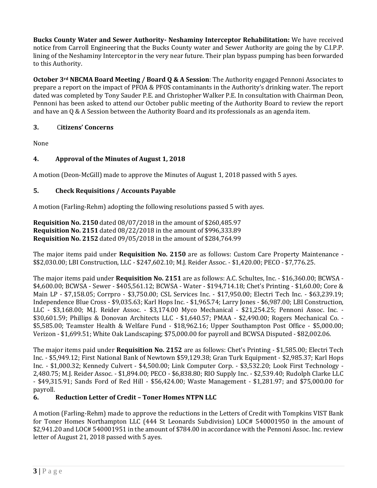**Bucks County Water and Sewer Authority- Neshaminy Interceptor Rehabilitation:** We have received notice from Carroll Engineering that the Bucks County water and Sewer Authority are going the by C.I.P.P. lining of the Neshaminy Interceptor in the very near future. Their plan bypass pumping has been forwarded to this Authority.

**October 3rd NBCMA Board Meeting / Board Q & A Session**: The Authority engaged Pennoni Associates to prepare a report on the impact of PFOA & PFOS contaminants in the Authority's drinking water. The report dated was completed by Tony Sauder P.E. and Christopher Walker P.E. In consultation with Chairman Deon, Pennoni has been asked to attend our October public meeting of the Authority Board to review the report and have an Q & A Session between the Authority Board and its professionals as an agenda item.

## **3.** C**itizens' Concerns**

None

# **4. Approval of the Minutes of August 1, 2018**

A motion (Deon-McGill) made to approve the Minutes of August 1, 2018 passed with 5 ayes.

## **5. Check Requisitions / Accounts Payable**

A motion (Farling-Rehm) adopting the following resolutions passed 5 with ayes.

**Requisition No. 2150** dated 08/07/2018 in the amount of \$260,485.97 **Requisition No. 2151** dated 08/22/2018 in the amount of \$996,333.89 **Requisition No. 2152** dated 09/05/2018 in the amount of \$284,764.99

The major items paid under **Requisition No. 2150** are as follows: Custom Care Property Maintenance - \$\$2,030.00; LBI Construction, LLC - \$247,602.10; M.J. Reider Assoc. - \$1,420.00; PECO - \$7,776.25.

The major items paid under **Requisition No. 2151** are as follows: A.C. Schultes, Inc. - \$16,360.00; BCWSA - \$4,600.00; BCWSA - Sewer - \$405,561.12; BCWSA - Water - \$194,714.18; Chet's Printing - \$1,60.00; Core & Main LP - \$7,158.05; Corrpro - \$3,750.00; CSL Services Inc. - \$17,950.00; Electri Tech Inc. - \$63,239.19; Independence Blue Cross - \$9,035.63; Karl Hops Inc. - \$1,965.74; Larry Jones - \$6,987.00; LBI Construction, LLC - \$3,168.00; M.J. Reider Assoc. - \$3,174.00 Myco Mechanical - \$21,254.25; Pennoni Assoc. Inc. - \$30,601.59; Phillips & Donovan Architects LLC - \$1,640.57; PMAA - \$2,490.00; Rogers Mechanical Co. - \$5,585.00; Teamster Health & Welfare Fund - \$18,962.16; Upper Southampton Post Office - \$5,000.00; Verizon - \$1,699.51; White Oak Landscaping; \$75,000.00 for payroll and BCWSA Disputed - \$82,002.06.

The major items paid under **Requisition No. 2152** are as follows: Chet's Printing - \$1,585.00; Electri Tech Inc. - \$5,949.12; First National Bank of Newtown \$59,129.38; Gran Turk Equipment - \$2,985.37; Karl Hops Inc. - \$1,000.32; Kennedy Culvert - \$4,500.00; Link Computer Corp. - \$3,532.20; Look First Technology - 2,480.75; M.J. Reider Assoc. - \$1,894.00; PECO - \$6,838.80; RIO Supply Inc. - \$2,539.40; Rudolph Clarke LLC - \$49,315.91; Sands Ford of Red Hill - \$56,424.00; Waste Management - \$1,281.97; and \$75,000.00 for payroll.

## **6. Reduction Letter of Credit – Toner Homes NTPN LLC**

A motion (Farling-Rehm) made to approve the reductions in the Letters of Credit with Tompkins VIST Bank for Toner Homes Northampton LLC (444 St Leonards Subdivision) LOC# 540001950 in the amount of \$2,941.20 and LOC# 540001951 in the amount of \$784.00 in accordance with the Pennoni Assoc. Inc. review letter of August 21, 2018 passed with 5 ayes.